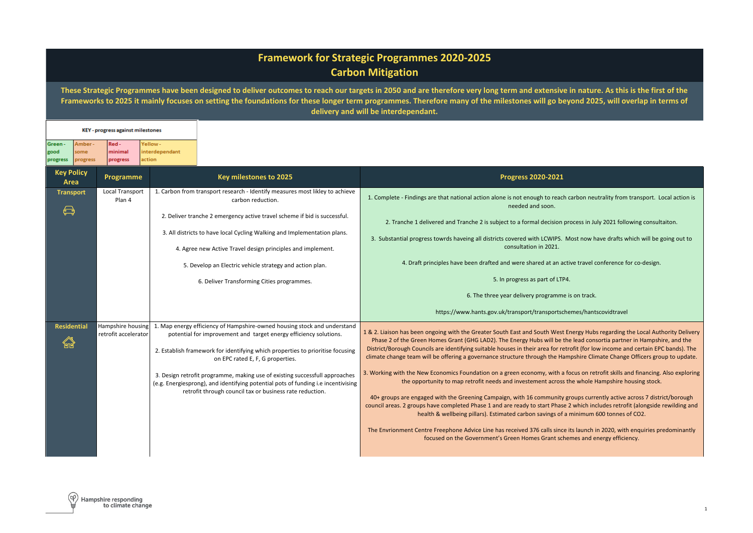## **Framework for Strategic Programmes 2020-2025 Carbon Mitigation**

**These Strategic Programmes have been designed to deliver outcomes to reach our targets in 2050 and are therefore very long term and extensive in nature. As this is the first of the Frameworks to 2025 it mainly focuses on setting the foundations for these longer term programmes. Therefore many of the milestones will go beyond 2025, will overlap in terms of delivery and will be interdependant.** 

| Green-<br>good<br>progress | Amber-<br>some<br>progress | Red-<br>minimal<br>progress      | Yellow -<br>interdependant<br>action |                                                                                                                                                                                                                                                                                                                                                                                                                                                                                                                               |                                                                                                                                                                                                                                                                                                                                                                                                                                                                                                                                                                                                                                                                                                                                                                                                                                                                                                                                                                                                                                                                                                                                                                                                                                                                                                                                  |
|----------------------------|----------------------------|----------------------------------|--------------------------------------|-------------------------------------------------------------------------------------------------------------------------------------------------------------------------------------------------------------------------------------------------------------------------------------------------------------------------------------------------------------------------------------------------------------------------------------------------------------------------------------------------------------------------------|----------------------------------------------------------------------------------------------------------------------------------------------------------------------------------------------------------------------------------------------------------------------------------------------------------------------------------------------------------------------------------------------------------------------------------------------------------------------------------------------------------------------------------------------------------------------------------------------------------------------------------------------------------------------------------------------------------------------------------------------------------------------------------------------------------------------------------------------------------------------------------------------------------------------------------------------------------------------------------------------------------------------------------------------------------------------------------------------------------------------------------------------------------------------------------------------------------------------------------------------------------------------------------------------------------------------------------|
| <b>Key Policy</b><br>Area  |                            | Programme                        |                                      | Key milestones to 2025                                                                                                                                                                                                                                                                                                                                                                                                                                                                                                        | <b>Progress 2020-2021</b>                                                                                                                                                                                                                                                                                                                                                                                                                                                                                                                                                                                                                                                                                                                                                                                                                                                                                                                                                                                                                                                                                                                                                                                                                                                                                                        |
| <b>Transport</b><br>⇔      |                            | <b>Local Transport</b><br>Plan 4 |                                      | 1. Carbon from transport research - Identify measures most likley to achieve<br>carbon reduction.<br>2. Deliver tranche 2 emergency active travel scheme if bid is successful.<br>3. All districts to have local Cycling Walking and Implementation plans.<br>4. Agree new Active Travel design principles and implement.<br>5. Develop an Electric vehicle strategy and action plan.<br>6. Deliver Transforming Cities programmes.                                                                                           | 1. Complete - Findings are that national action alone is not enough to reach carbon neutrality from transport. Local action is<br>needed and soon.<br>2. Tranche 1 delivered and Tranche 2 is subject to a formal decision process in July 2021 following consultaiton.<br>3. Substantial progress towrds haveing all districts covered with LCWIPS. Most now have drafts which will be going out to<br>consultation in 2021.<br>4. Draft principles have been drafted and were shared at an active travel conference for co-design.<br>5. In progress as part of LTP4.<br>6. The three year delivery programme is on track.<br>https://www.hants.gov.uk/transport/transportschemes/hantscovidtravel                                                                                                                                                                                                                                                                                                                                                                                                                                                                                                                                                                                                                             |
| <b>Residential</b><br>倫    |                            | retrofit accelerator             |                                      | Hampshire housing $\vert$ 1. Map energy efficiency of Hampshire-owned housing stock and understand<br>potential for improvement and target energy efficiency solutions.<br>2. Establish framework for identifying which properties to prioritise focusing<br>on EPC rated E, F, G properties.<br>3. Design retrofit programme, making use of existing successfull approaches<br>(e.g. Energiesprong), and identifying potential pots of funding i.e incentivising<br>retrofit through council tax or business rate reduction. | 1 & 2. Liaison has been ongoing with the Greater South East and South West Energy Hubs regarding the Local Authority Delivery<br>Phase 2 of the Green Homes Grant (GHG LAD2). The Energy Hubs will be the lead consortia partner in Hampshire, and the<br>District/Borough Councils are identifying suitable houses in their area for retrofit (for low income and certain EPC bands). The<br>climate change team will be offering a governance structure through the Hampshire Climate Change Officers group to update.<br>3. Working with the New Economics Foundation on a green economy, with a focus on retrofit skills and financing. Also exploring<br>the opportunity to map retrofit needs and investement across the whole Hampshire housing stock.<br>40+ groups are engaged with the Greening Campaign, with 16 community groups currently active across 7 district/borough<br>council areas. 2 groups have completed Phase 1 and are ready to start Phase 2 which includes retrofit (alongside rewilding and<br>health & wellbeing pillars). Estimated carbon savings of a minimum 600 tonnes of CO2.<br>The Envrionment Centre Freephone Advice Line has received 376 calls since its launch in 2020, with enquiries predominantly<br>focused on the Government's Green Homes Grant schemes and energy efficiency. |

**KEY** - progress against milestones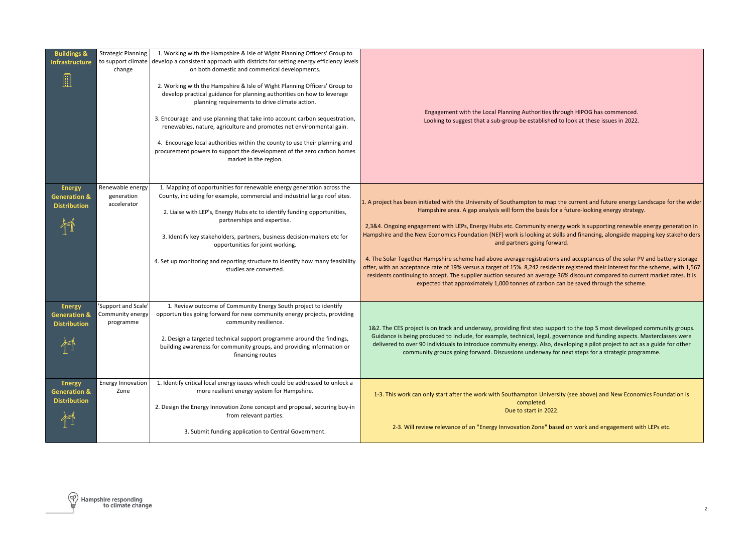| <b>Buildings &amp;</b><br><b>Infrastructure</b>                 | <b>Strategic Planning</b><br>to support climate<br>change | 1. Working with the Hampshire & Isle of Wight Planning Officers' Group to<br>develop a consistent approach with districts for setting energy efficiency levels<br>on both domestic and commerical developments.<br>2. Working with the Hampshire & Isle of Wight Planning Officers' Group to<br>develop practical guidance for planning authorities on how to leverage<br>planning requirements to drive climate action.<br>3. Encourage land use planning that take into account carbon sequestration,<br>renewables, nature, agriculture and promotes net environmental gain.<br>4. Encourage local authorities within the county to use their planning and<br>procurement powers to support the development of the zero carbon homes<br>market in the region. | Engagement with the Local Planning Authorities through HIPOG has commenced.<br>Looking to suggest that a sub-group be established to look at these issues in 2022.                                                                                                                                                                                                                                                                                                                                                                                                                                                                                                                                                                                                                                                                                                                                                                                                                                               |
|-----------------------------------------------------------------|-----------------------------------------------------------|------------------------------------------------------------------------------------------------------------------------------------------------------------------------------------------------------------------------------------------------------------------------------------------------------------------------------------------------------------------------------------------------------------------------------------------------------------------------------------------------------------------------------------------------------------------------------------------------------------------------------------------------------------------------------------------------------------------------------------------------------------------|------------------------------------------------------------------------------------------------------------------------------------------------------------------------------------------------------------------------------------------------------------------------------------------------------------------------------------------------------------------------------------------------------------------------------------------------------------------------------------------------------------------------------------------------------------------------------------------------------------------------------------------------------------------------------------------------------------------------------------------------------------------------------------------------------------------------------------------------------------------------------------------------------------------------------------------------------------------------------------------------------------------|
| <b>Energy</b><br><b>Generation &amp;</b><br><b>Distribution</b> | Renewable energy<br>generation<br>accelerator             | 1. Mapping of opportunities for renewable energy generation across the<br>County, including for example, commercial and industrial large roof sites.<br>2. Liaise with LEP's, Energy Hubs etc to identify funding opportunities,<br>partnerships and expertise.<br>3. Identify key stakeholders, partners, business decision-makers etc for<br>opportunities for joint working.<br>4. Set up monitoring and reporting structure to identify how many feasibility<br>studies are converted.                                                                                                                                                                                                                                                                       | 1. A project has been initiated with the University of Southampton to map the current and future energy Landscape for the wider<br>Hampshire area. A gap analysis will form the basis for a future-looking energy strategy.<br>2,3&4. Ongoing engagement with LEPs, Energy Hubs etc. Community energy work is supporting renewble energy generation in<br>Hampshire and the New Economics Foundation (NEF) work is looking at skills and financing, alongside mapping key stakeholders<br>and partners going forward.<br>4. The Solar Together Hampshire scheme had above average registrations and acceptances of the solar PV and battery storage<br>offer, with an acceptance rate of 19% versus a target of 15%. 8,242 residents registered their interest for the scheme, with 1,567<br>residents continuing to accept. The supplier auction secured an average 36% discount compared to current market rates. It is<br>expected that approximately 1,000 tonnes of carbon can be saved through the scheme. |
| <b>Energy</b><br><b>Generation &amp;</b><br><b>Distribution</b> | 'Support and Scale'<br>Community energy<br>programme      | 1. Review outcome of Community Energy South project to identify<br>opportunities going forward for new community energy projects, providing<br>community resilience.<br>2. Design a targeted technical support programme around the findings,<br>building awareness for community groups, and providing information or<br>financing routes                                                                                                                                                                                                                                                                                                                                                                                                                       | 1&2. The CES project is on track and underway, providing first step support to the top 5 most developed community groups.<br>Guidance is being produced to include, for example, technical, legal, governance and funding aspects. Masterclasses were<br>delivered to over 90 individuals to introduce commuity energy. Also, developing a pilot project to act as a guide for other<br>community groups going forward. Discussions underway for next steps for a strategic programme.                                                                                                                                                                                                                                                                                                                                                                                                                                                                                                                           |
| <b>Energy</b><br><b>Generation &amp;</b><br><b>Distribution</b> | <b>Energy Innovation</b><br>Zone                          | 1. Identify critical local energy issues which could be addressed to unlock a<br>more resilient energy system for Hampshire.<br>2. Design the Energy Innovation Zone concept and proposal, securing buy-in<br>from relevant parties.<br>3. Submit funding application to Central Government.                                                                                                                                                                                                                                                                                                                                                                                                                                                                     | 1-3. This work can only start after the work with Southampton University (see above) and New Economics Foundation is<br>completed.<br>Due to start in 2022.<br>2-3. Will review relevance of an "Energy Innvovation Zone" based on work and engagement with LEPs etc.                                                                                                                                                                                                                                                                                                                                                                                                                                                                                                                                                                                                                                                                                                                                            |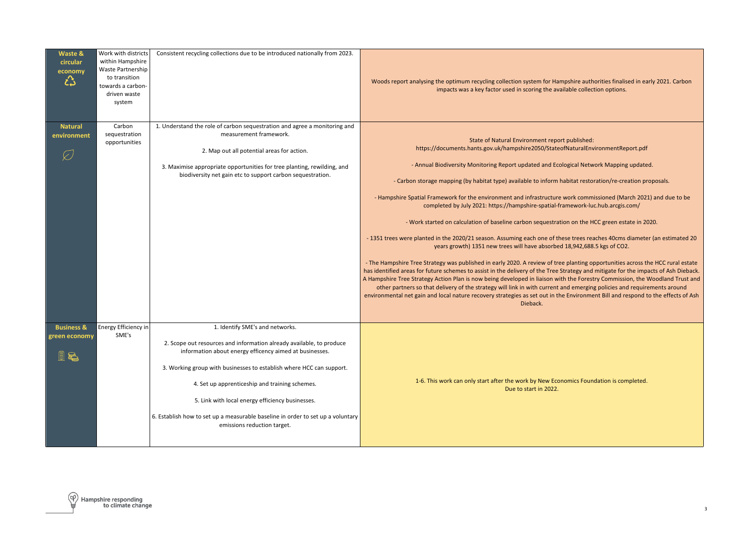| Waste &<br>circular<br>economy<br>᠘                  | Work with districts<br>within Hampshire<br>Waste Partnership<br>to transition<br>towards a carbon-<br>driven waste<br>system | Consistent recycling collections due to be introduced nationally from 2023.                                                                                                                                                                                                                                                                                                                                                                                        | Woods report analysing the optimum recycling collection system for Hampshire authorities finalised in early 2021. Carbon<br>impacts was a key factor used in scoring the available collection options.                                                                                                                                                                                                                                                                                                                                                                                                                                                                                                                                                                                                                                                                                                                                                                                                                                                                                                                                                                                                                                                                                                                                                                                                                                                                                                                                            |
|------------------------------------------------------|------------------------------------------------------------------------------------------------------------------------------|--------------------------------------------------------------------------------------------------------------------------------------------------------------------------------------------------------------------------------------------------------------------------------------------------------------------------------------------------------------------------------------------------------------------------------------------------------------------|---------------------------------------------------------------------------------------------------------------------------------------------------------------------------------------------------------------------------------------------------------------------------------------------------------------------------------------------------------------------------------------------------------------------------------------------------------------------------------------------------------------------------------------------------------------------------------------------------------------------------------------------------------------------------------------------------------------------------------------------------------------------------------------------------------------------------------------------------------------------------------------------------------------------------------------------------------------------------------------------------------------------------------------------------------------------------------------------------------------------------------------------------------------------------------------------------------------------------------------------------------------------------------------------------------------------------------------------------------------------------------------------------------------------------------------------------------------------------------------------------------------------------------------------------|
| <b>Natural</b><br>environment<br>⊘                   | Carbon<br>sequestration<br>opportunities                                                                                     | 1. Understand the role of carbon sequestration and agree a monitoring and<br>measurement framework.<br>2. Map out all potential areas for action.<br>3. Maximise appropriate opportunities for tree planting, rewilding, and<br>biodiversity net gain etc to support carbon sequestration.                                                                                                                                                                         | State of Natural Environment report published:<br>https://documents.hants.gov.uk/hampshire2050/StateofNaturalEnvironmentReport.pdf<br>- Annual Biodiversity Monitoring Report updated and Ecological Network Mapping updated.<br>- Carbon storage mapping (by habitat type) available to inform habitat restoration/re-creation proposals.<br>- Hampshire Spatial Framework for the environment and infrastructure work commissioned (March 2021) and due to be<br>completed by July 2021: https://hampshire-spatial-framework-luc.hub.arcgis.com/<br>- Work started on calculation of baseline carbon sequestration on the HCC green estate in 2020.<br>-1351 trees were planted in the 2020/21 season. Assuming each one of these trees reaches 40cms diameter (an estimated 20<br>years growth) 1351 new trees will have absorbed 18,942,688.5 kgs of CO2.<br>- The Hampshire Tree Strategy was published in early 2020. A review of tree planting opportunities across the HCC rural estate<br>has identified areas for future schemes to assist in the delivery of the Tree Strategy and mitigate for the impacts of Ash Dieback.<br>A Hampshire Tree Strategy Action Plan is now being developed in liaison with the Forestry Commission, the Woodland Trust and<br>other partners so that delivery of the strategy will link in with current and emerging policies and requirements around<br>environmental net gain and local nature recovery strategies as set out in the Environment Bill and respond to the effects of Ash<br>Dieback. |
| <b>Business &amp;</b><br><b>green economy</b><br>i & | Energy Efficiency in<br>SME's                                                                                                | 1. Identify SME's and networks.<br>2. Scope out resources and information already available, to produce<br>information about energy efficency aimed at businesses.<br>3. Working group with businesses to establish where HCC can support.<br>4. Set up apprenticeship and training schemes.<br>5. Link with local energy efficiency businesses.<br>6. Establish how to set up a measurable baseline in order to set up a voluntary<br>emissions reduction target. | 1-6. This work can only start after the work by New Economics Foundation is completed.<br>Due to start in 2022.                                                                                                                                                                                                                                                                                                                                                                                                                                                                                                                                                                                                                                                                                                                                                                                                                                                                                                                                                                                                                                                                                                                                                                                                                                                                                                                                                                                                                                   |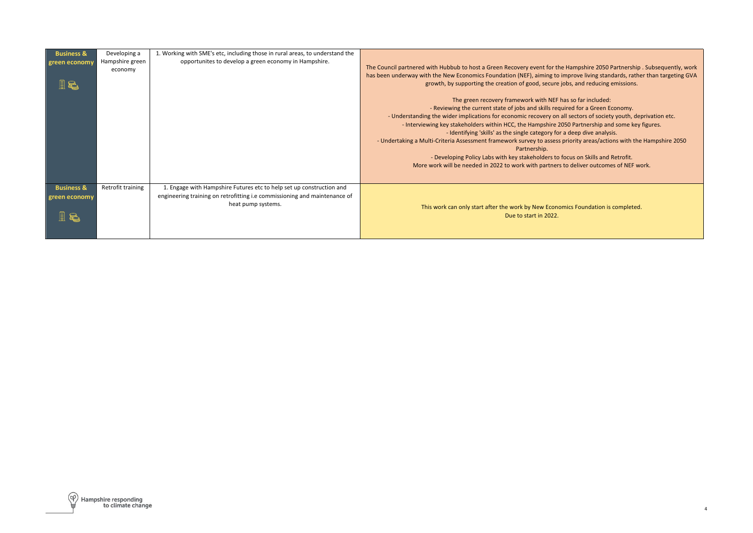| <b>Business &amp;</b><br>green economy | Developing a<br>Hampshire green<br>economy | 1. Working with SME's etc, including those in rural areas, to understand the<br>opportunites to develop a green economy in Hampshire.                                   | The Council partnered with Hubbub to host a Green Recovery event for the Hampshire 2050 Partnership . Subsequently, work<br>has been underway with the New Economics Foundation (NEF), aiming to improve living standards, rather than targeting GVA<br>growth, by supporting the creation of good, secure jobs, and reducing emissions.                                                                                                                                                                                                                                                                                                                                                                                                                           |
|----------------------------------------|--------------------------------------------|-------------------------------------------------------------------------------------------------------------------------------------------------------------------------|--------------------------------------------------------------------------------------------------------------------------------------------------------------------------------------------------------------------------------------------------------------------------------------------------------------------------------------------------------------------------------------------------------------------------------------------------------------------------------------------------------------------------------------------------------------------------------------------------------------------------------------------------------------------------------------------------------------------------------------------------------------------|
|                                        |                                            |                                                                                                                                                                         | The green recovery framework with NEF has so far included:<br>- Reviewing the current state of jobs and skills required for a Green Economy.<br>- Understanding the wider implications for economic recovery on all sectors of society youth, deprivation etc.<br>- Interviewing key stakeholders within HCC, the Hampshire 2050 Partnership and some key figures.<br>- Identifying 'skills' as the single category for a deep dive analysis.<br>- Undertaking a Multi-Criteria Assessment framework survey to assess priority areas/actions with the Hampshire 2050<br>Partnership.<br>- Developing Policy Labs with key stakeholders to focus on Skills and Retrofit.<br>More work will be needed in 2022 to work with partners to deliver outcomes of NEF work. |
| <b>Business &amp;</b><br>green economy | Retrofit training                          | 1. Engage with Hampshire Futures etc to help set up construction and<br>engineering training on retrofitting i.e commissioning and maintenance of<br>heat pump systems. | This work can only start after the work by New Economics Foundation is completed.<br>Due to start in 2022.                                                                                                                                                                                                                                                                                                                                                                                                                                                                                                                                                                                                                                                         |

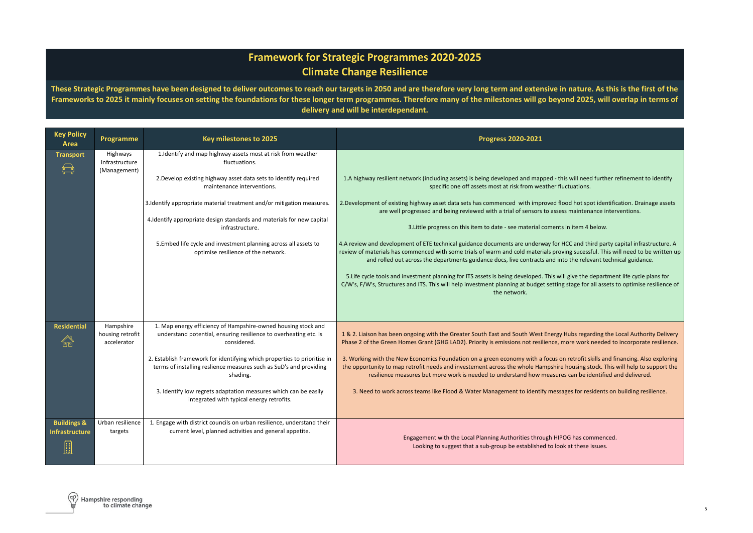## **Framework for Strategic Programmes 2020-2025 Climate Change Resilience**

**These Strategic Programmes have been designed to deliver outcomes to reach our targets in 2050 and are therefore very long term and extensive in nature. As this is the first of the Frameworks to 2025 it mainly focuses on setting the foundations for these longer term programmes. Therefore many of the milestones will go beyond 2025, will overlap in terms of delivery and will be interdependant.** 

| <b>Key Policy</b><br>Area                       | Programme                                    | Key milestones to 2025                                                                                                                                                                                                                                                                                                                                                                                                         | <b>Progress 2020-2021</b>                                                                                                                                                                                                                                                                                                                                                                                                                                                                                                                                                                                                                                                                                                                                                                                                                                                                                                                                                                                   |
|-------------------------------------------------|----------------------------------------------|--------------------------------------------------------------------------------------------------------------------------------------------------------------------------------------------------------------------------------------------------------------------------------------------------------------------------------------------------------------------------------------------------------------------------------|-------------------------------------------------------------------------------------------------------------------------------------------------------------------------------------------------------------------------------------------------------------------------------------------------------------------------------------------------------------------------------------------------------------------------------------------------------------------------------------------------------------------------------------------------------------------------------------------------------------------------------------------------------------------------------------------------------------------------------------------------------------------------------------------------------------------------------------------------------------------------------------------------------------------------------------------------------------------------------------------------------------|
| <b>Transport</b>                                | Highways<br>Infrastructure<br>(Management)   | 1.Identify and map highway assets most at risk from weather<br>fluctuations.<br>2. Develop existing highway asset data sets to identify required<br>maintenance interventions.                                                                                                                                                                                                                                                 | 1.A highway resilient network (including assets) is being developed and mapped - this will need further refinement to identify<br>specific one off assets most at risk from weather fluctuations.                                                                                                                                                                                                                                                                                                                                                                                                                                                                                                                                                                                                                                                                                                                                                                                                           |
|                                                 |                                              | 3. Identify appropriate material treatment and/or mitigation measures.<br>4. Identify appropriate design standards and materials for new capital<br>infrastructure.<br>5.Embed life cycle and investment planning across all assets to<br>optimise resilience of the network.                                                                                                                                                  | 2.Development of existing highway asset data sets has commenced with improved flood hot spot identification. Drainage assets<br>are well progressed and being reviewed with a trial of sensors to assess maintenance interventions.<br>3. Little progress on this item to date - see material coments in item 4 below.<br>4. A review and development of ETE technical guidance documents are underway for HCC and third party capital infrastructure. A<br>review of materials has commenced with some trials of warm and cold materials proving sucessful. This will need to be written up<br>and rolled out across the departments guidance docs, live contracts and into the relevant technical guidance.<br>5. Life cycle tools and investment planning for ITS assets is being developed. This will give the department life cycle plans for<br>C/W's, F/W's, Structures and ITS. This will help investment planning at budget setting stage for all assets to optimise resilience of<br>the network. |
|                                                 |                                              |                                                                                                                                                                                                                                                                                                                                                                                                                                |                                                                                                                                                                                                                                                                                                                                                                                                                                                                                                                                                                                                                                                                                                                                                                                                                                                                                                                                                                                                             |
| <b>Residential</b>                              | Hampshire<br>housing retrofit<br>accelerator | 1. Map energy efficiency of Hampshire-owned housing stock and<br>understand potential, ensuring resilience to overheating etc. is<br>considered.<br>2. Establish framework for identifying which properties to prioritise in<br>terms of installing reslience measures such as SuD's and providing<br>shading.<br>3. Identify low regrets adaptation measures which can be easily<br>integrated with typical energy retrofits. | 1 & 2. Liaison has been ongoing with the Greater South East and South West Energy Hubs regarding the Local Authority Delivery<br>Phase 2 of the Green Homes Grant (GHG LAD2). Priority is emissions not resilience, more work needed to incorporate resilience.<br>3. Working with the New Economics Foundation on a green economy with a focus on retrofit skills and financing. Also exploring<br>the opportunity to map retrofit needs and investement across the whole Hampshire housing stock. This will help to support the<br>resilience measures but more work is needed to understand how measures can be identified and delivered.<br>3. Need to work across teams like Flood & Water Management to identify messages for residents on building resilience.                                                                                                                                                                                                                                       |
| <b>Buildings &amp;</b><br><b>Infrastructure</b> | Urban resilience<br>targets                  | 1. Engage with district councils on urban resilience, understand their<br>current level, planned activities and general appetite.                                                                                                                                                                                                                                                                                              | Engagement with the Local Planning Authorities through HIPOG has commenced.<br>Looking to suggest that a sub-group be established to look at these issues.                                                                                                                                                                                                                                                                                                                                                                                                                                                                                                                                                                                                                                                                                                                                                                                                                                                  |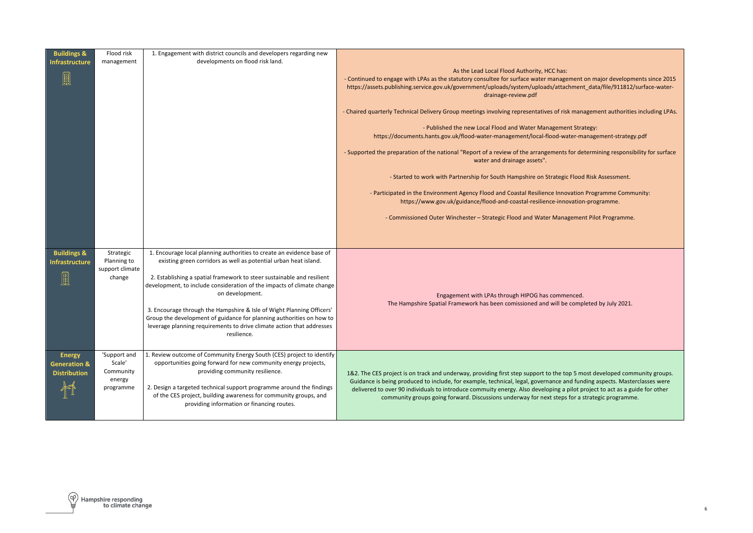| <b>Buildings &amp;</b><br><b>Infrastructure</b> | Flood risk<br>management                    | 1. Engagement with district councils and developers regarding new<br>developments on flood risk land.                                                                                                                                 |                                                                                                                                                                                                                                                                                                                                                                                                                                                                                       |
|-------------------------------------------------|---------------------------------------------|---------------------------------------------------------------------------------------------------------------------------------------------------------------------------------------------------------------------------------------|---------------------------------------------------------------------------------------------------------------------------------------------------------------------------------------------------------------------------------------------------------------------------------------------------------------------------------------------------------------------------------------------------------------------------------------------------------------------------------------|
| ▦                                               |                                             |                                                                                                                                                                                                                                       | As the Lead Local Flood Authority, HCC has:<br>- Continued to engage with LPAs as the statutory consultee for surface water management on major developments since 2015<br>https://assets.publishing.service.gov.uk/government/uploads/system/uploads/attachment_data/file/911812/surface-water-<br>drainage-review.pdf                                                                                                                                                               |
|                                                 |                                             |                                                                                                                                                                                                                                       | - Chaired quarterly Technical Delivery Group meetings involving representatives of risk management authorities including LPAs.                                                                                                                                                                                                                                                                                                                                                        |
|                                                 |                                             |                                                                                                                                                                                                                                       | - Published the new Local Flood and Water Management Strategy:<br>https://documents.hants.gov.uk/flood-water-management/local-flood-water-management-strategy.pdf                                                                                                                                                                                                                                                                                                                     |
|                                                 |                                             |                                                                                                                                                                                                                                       | - Supported the preparation of the national "Report of a review of the arrangements for determining responsibility for surface<br>water and drainage assets".                                                                                                                                                                                                                                                                                                                         |
|                                                 |                                             |                                                                                                                                                                                                                                       | - Started to work with Partnership for South Hampshire on Strategic Flood Risk Assessment.                                                                                                                                                                                                                                                                                                                                                                                            |
|                                                 |                                             |                                                                                                                                                                                                                                       | - Participated in the Environment Agency Flood and Coastal Resilience Innovation Programme Community:<br>https://www.gov.uk/guidance/flood-and-coastal-resilience-innovation-programme.                                                                                                                                                                                                                                                                                               |
|                                                 |                                             |                                                                                                                                                                                                                                       | - Commissioned Outer Winchester - Strategic Flood and Water Management Pilot Programme.                                                                                                                                                                                                                                                                                                                                                                                               |
|                                                 |                                             |                                                                                                                                                                                                                                       |                                                                                                                                                                                                                                                                                                                                                                                                                                                                                       |
| <b>Buildings &amp;</b><br><b>Infrastructure</b> | Strategic<br>Planning to<br>support climate | 1. Encourage local planning authorities to create an evidence base of<br>existing green corridors as well as potential urban heat island.                                                                                             |                                                                                                                                                                                                                                                                                                                                                                                                                                                                                       |
|                                                 | change                                      | 2. Establishing a spatial framework to steer sustainable and resilient<br>development, to include consideration of the impacts of climate change<br>on development.                                                                   | Engagement with LPAs through HIPOG has commenced.                                                                                                                                                                                                                                                                                                                                                                                                                                     |
|                                                 |                                             | 3. Encourage through the Hampshire & Isle of Wight Planning Officers'<br>Group the development of guidance for planning authorities on how to<br>leverage planning requirements to drive climate action that addresses<br>resilience. | The Hampshire Spatial Framework has been comissioned and will be completed by July 2021.                                                                                                                                                                                                                                                                                                                                                                                              |
| <b>Energy</b><br><b>Generation &amp;</b>        | 'Support and<br>Scale'                      | 1. Review outcome of Community Energy South (CES) project to identify<br>opportunities going forward for new community energy projects,                                                                                               |                                                                                                                                                                                                                                                                                                                                                                                                                                                                                       |
| <b>Distribution</b>                             | Community<br>energy<br>programme            | providing community resilience.<br>2. Design a targeted technical support programme around the findings<br>of the CES project, building awareness for community groups, and<br>providing information or financing routes.             | 1&2. The CES project is on track and underway, providing first step support to the top 5 most developed community groups.<br>Guidance is being produced to include, for example, technical, legal, governance and funding aspects. Masterclasses were<br>delivered to over 90 individuals to introduce commuity energy. Also developing a pilot project to act as a guide for other<br>community groups going forward. Discussions underway for next steps for a strategic programme. |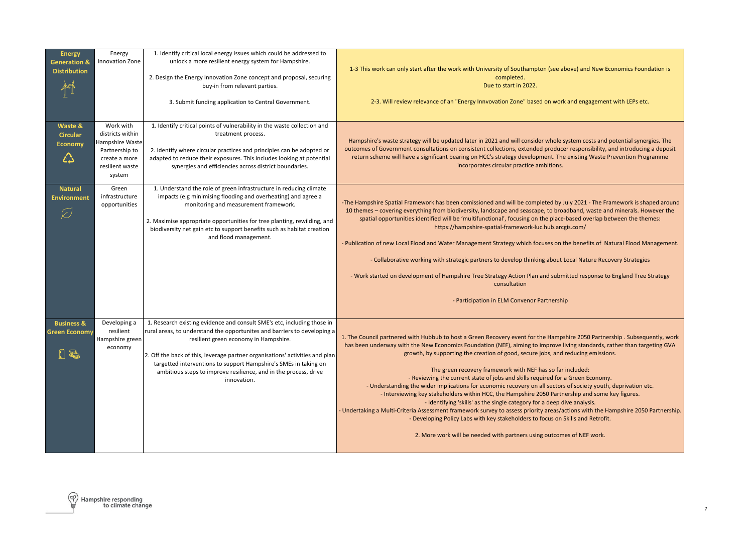| <b>Energy</b>                                 | Energy                              | 1. Identify critical local energy issues which could be addressed to                                                                                |                                                                                                                                                                                                                                                       |
|-----------------------------------------------|-------------------------------------|-----------------------------------------------------------------------------------------------------------------------------------------------------|-------------------------------------------------------------------------------------------------------------------------------------------------------------------------------------------------------------------------------------------------------|
| <b>Generation &amp;</b>                       | Innovation Zone                     | unlock a more resilient energy system for Hampshire.                                                                                                | 1-3 This work can only start after the work with University of Southampton (see above) and New Economics Foundation is                                                                                                                                |
| <b>Distribution</b>                           |                                     | 2. Design the Energy Innovation Zone concept and proposal, securing                                                                                 | completed.                                                                                                                                                                                                                                            |
|                                               |                                     | buy-in from relevant parties.                                                                                                                       | Due to start in 2022.                                                                                                                                                                                                                                 |
|                                               |                                     | 3. Submit funding application to Central Government.                                                                                                | 2-3. Will review relevance of an "Energy Innvovation Zone" based on work and engagement with LEPs etc.                                                                                                                                                |
|                                               |                                     |                                                                                                                                                     |                                                                                                                                                                                                                                                       |
| Waste &                                       | Work with                           | 1. Identify critical points of vulnerability in the waste collection and                                                                            |                                                                                                                                                                                                                                                       |
| <b>Circular</b>                               | districts within<br>Hampshire Waste | treatment process.                                                                                                                                  | Hampshire's waste strategy will be updated later in 2021 and will consider whole system costs and potential synergies. The                                                                                                                            |
| Economy                                       | Partnership to                      | 2. Identify where circular practices and principles can be adopted or                                                                               | outcomes of Government consultations on consistent collections, extended producer responsibility, and introducing a deposit                                                                                                                           |
| ᠘                                             | create a more                       | adapted to reduce their exposures. This includes looking at potential                                                                               | return scheme will have a significant bearing on HCC's strategy development. The existing Waste Prevention Programme<br>incorporates circular practice ambitions.                                                                                     |
|                                               | resilient waste<br>system           | synergies and efficiencies across district boundaries.                                                                                              |                                                                                                                                                                                                                                                       |
| <b>Natural</b>                                | Green                               | 1. Understand the role of green infrastructure in reducing climate                                                                                  |                                                                                                                                                                                                                                                       |
| <b>Environment</b>                            | infrastructure                      | impacts (e.g minimising flooding and overheating) and agree a                                                                                       |                                                                                                                                                                                                                                                       |
|                                               | opportunities                       | monitoring and measurement framework.                                                                                                               | -The Hampshire Spatial Framework has been comissioned and will be completed by July 2021 - The Framework is shaped around<br>10 themes – covering everything from biodiversity, landscape and seascape, to broadband, waste and minerals. However the |
|                                               |                                     | 2. Maximise appropriate opportunities for tree planting, rewilding, and                                                                             | spatial opportunities identified will be 'multifunctional', focusing on the place-based overlap between the themes:                                                                                                                                   |
|                                               |                                     | biodiversity net gain etc to support benefits such as habitat creation                                                                              | https://hampshire-spatial-framework-luc.hub.arcgis.com/                                                                                                                                                                                               |
|                                               |                                     | and flood management.                                                                                                                               | - Publication of new Local Flood and Water Management Strategy which focuses on the benefits of Natural Flood Management.                                                                                                                             |
|                                               |                                     |                                                                                                                                                     | - Collaborative working with strategic partners to develop thinking about Local Nature Recovery Strategies                                                                                                                                            |
|                                               |                                     |                                                                                                                                                     | - Work started on development of Hampshire Tree Strategy Action Plan and submitted response to England Tree Strategy<br>consultation                                                                                                                  |
|                                               |                                     |                                                                                                                                                     |                                                                                                                                                                                                                                                       |
|                                               |                                     |                                                                                                                                                     | - Participation in ELM Convenor Partnership                                                                                                                                                                                                           |
|                                               |                                     |                                                                                                                                                     |                                                                                                                                                                                                                                                       |
| <b>Business &amp;</b><br><b>Green Economy</b> | Developing a<br>resilient           | 1. Research existing evidence and consult SME's etc, including those in<br>rural areas, to understand the opportunites and barriers to developing a |                                                                                                                                                                                                                                                       |
|                                               | Hampshire green                     | resilient green economy in Hampshire.                                                                                                               | 1. The Council partnered with Hubbub to host a Green Recovery event for the Hampshire 2050 Partnership . Subsequently, work                                                                                                                           |
|                                               | economy                             | 2. Off the back of this, leverage partner organisations' activities and plan                                                                        | has been underway with the New Economics Foundation (NEF), aiming to improve living standards, rather than targeting GVA<br>growth, by supporting the creation of good, secure jobs, and reducing emissions.                                          |
|                                               |                                     | targetted interventions to support Hampshire's SMEs in taking on                                                                                    |                                                                                                                                                                                                                                                       |
|                                               |                                     | ambitious steps to improve resilience, and in the process, drive                                                                                    | The green recovery framework with NEF has so far included:<br>- Reviewing the current state of jobs and skills required for a Green Economy.                                                                                                          |
|                                               |                                     | innovation.                                                                                                                                         | - Understanding the wider implications for economic recovery on all sectors of society youth, deprivation etc.                                                                                                                                        |
|                                               |                                     |                                                                                                                                                     | - Interviewing key stakeholders within HCC, the Hampshire 2050 Partnership and some key figures.                                                                                                                                                      |
|                                               |                                     |                                                                                                                                                     | - Identifying 'skills' as the single category for a deep dive analysis.<br>- Undertaking a Multi-Criteria Assessment framework survey to assess priority areas/actions with the Hampshire 2050 Partnership.                                           |
|                                               |                                     |                                                                                                                                                     | - Developing Policy Labs with key stakeholders to focus on Skills and Retrofit.                                                                                                                                                                       |
|                                               |                                     |                                                                                                                                                     | 2. More work will be needed with partners using outcomes of NEF work.                                                                                                                                                                                 |
|                                               |                                     |                                                                                                                                                     |                                                                                                                                                                                                                                                       |